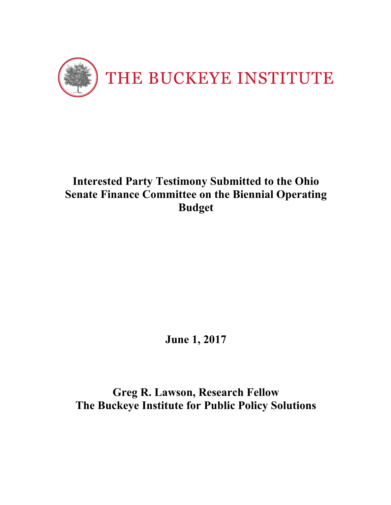

# **Interested Party Testimony Submitted to the Ohio Senate Finance Committee on the Biennial Operating Budget**

**June 1, 2017**

**Greg R. Lawson, Research Fellow The Buckeye Institute for Public Policy Solutions**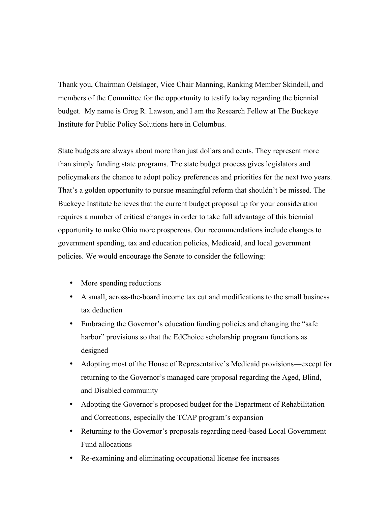Thank you, Chairman Oelslager, Vice Chair Manning, Ranking Member Skindell, and members of the Committee for the opportunity to testify today regarding the biennial budget. My name is Greg R. Lawson, and I am the Research Fellow at The Buckeye Institute for Public Policy Solutions here in Columbus.

State budgets are always about more than just dollars and cents. They represent more than simply funding state programs. The state budget process gives legislators and policymakers the chance to adopt policy preferences and priorities for the next two years. That's a golden opportunity to pursue meaningful reform that shouldn't be missed. The Buckeye Institute believes that the current budget proposal up for your consideration requires a number of critical changes in order to take full advantage of this biennial opportunity to make Ohio more prosperous. Our recommendations include changes to government spending, tax and education policies, Medicaid, and local government policies. We would encourage the Senate to consider the following:

- More spending reductions
- A small, across-the-board income tax cut and modifications to the small business tax deduction
- Embracing the Governor's education funding policies and changing the "safe" harbor" provisions so that the EdChoice scholarship program functions as designed
- Adopting most of the House of Representative's Medicaid provisions—except for returning to the Governor's managed care proposal regarding the Aged, Blind, and Disabled community
- Adopting the Governor's proposed budget for the Department of Rehabilitation and Corrections, especially the TCAP program's expansion
- Returning to the Governor's proposals regarding need-based Local Government Fund allocations
- Re-examining and eliminating occupational license fee increases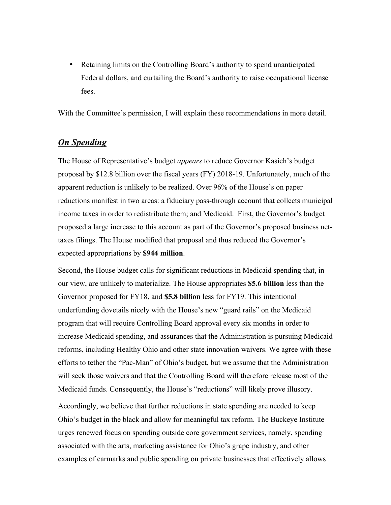• Retaining limits on the Controlling Board's authority to spend unanticipated Federal dollars, and curtailing the Board's authority to raise occupational license fees.

With the Committee's permission, I will explain these recommendations in more detail.

#### *On Spending*

The House of Representative's budget *appears* to reduce Governor Kasich's budget proposal by \$12.8 billion over the fiscal years (FY) 2018-19. Unfortunately, much of the apparent reduction is unlikely to be realized. Over 96% of the House's on paper reductions manifest in two areas: a fiduciary pass-through account that collects municipal income taxes in order to redistribute them; and Medicaid. First, the Governor's budget proposed a large increase to this account as part of the Governor's proposed business nettaxes filings. The House modified that proposal and thus reduced the Governor's expected appropriations by **\$944 million**.

Second, the House budget calls for significant reductions in Medicaid spending that, in our view, are unlikely to materialize. The House appropriates **\$5.6 billion** less than the Governor proposed for FY18, and **\$5.8 billion** less for FY19. This intentional underfunding dovetails nicely with the House's new "guard rails" on the Medicaid program that will require Controlling Board approval every six months in order to increase Medicaid spending, and assurances that the Administration is pursuing Medicaid reforms, including Healthy Ohio and other state innovation waivers. We agree with these efforts to tether the "Pac-Man" of Ohio's budget, but we assume that the Administration will seek those waivers and that the Controlling Board will therefore release most of the Medicaid funds. Consequently, the House's "reductions" will likely prove illusory.

Accordingly, we believe that further reductions in state spending are needed to keep Ohio's budget in the black and allow for meaningful tax reform. The Buckeye Institute urges renewed focus on spending outside core government services, namely, spending associated with the arts, marketing assistance for Ohio's grape industry, and other examples of earmarks and public spending on private businesses that effectively allows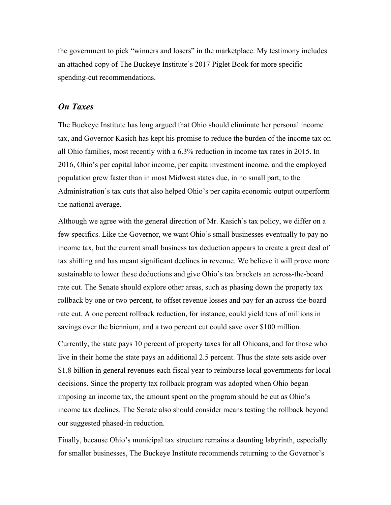the government to pick "winners and losers" in the marketplace. My testimony includes an attached copy of The Buckeye Institute's 2017 Piglet Book for more specific spending-cut recommendations.

#### *On Taxes*

The Buckeye Institute has long argued that Ohio should eliminate her personal income tax, and Governor Kasich has kept his promise to reduce the burden of the income tax on all Ohio families, most recently with a 6.3% reduction in income tax rates in 2015. In 2016, Ohio's per capital labor income, per capita investment income, and the employed population grew faster than in most Midwest states due, in no small part, to the Administration's tax cuts that also helped Ohio's per capita economic output outperform the national average.

Although we agree with the general direction of Mr. Kasich's tax policy, we differ on a few specifics. Like the Governor, we want Ohio's small businesses eventually to pay no income tax, but the current small business tax deduction appears to create a great deal of tax shifting and has meant significant declines in revenue. We believe it will prove more sustainable to lower these deductions and give Ohio's tax brackets an across-the-board rate cut. The Senate should explore other areas, such as phasing down the property tax rollback by one or two percent, to offset revenue losses and pay for an across-the-board rate cut. A one percent rollback reduction, for instance, could yield tens of millions in savings over the biennium, and a two percent cut could save over \$100 million.

Currently, the state pays 10 percent of property taxes for all Ohioans, and for those who live in their home the state pays an additional 2.5 percent. Thus the state sets aside over \$1.8 billion in general revenues each fiscal year to reimburse local governments for local decisions. Since the property tax rollback program was adopted when Ohio began imposing an income tax, the amount spent on the program should be cut as Ohio's income tax declines. The Senate also should consider means testing the rollback beyond our suggested phased-in reduction.

Finally, because Ohio's municipal tax structure remains a daunting labyrinth, especially for smaller businesses, The Buckeye Institute recommends returning to the Governor's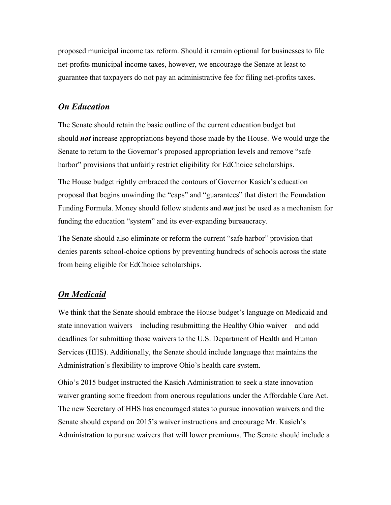proposed municipal income tax reform. Should it remain optional for businesses to file net-profits municipal income taxes, however, we encourage the Senate at least to guarantee that taxpayers do not pay an administrative fee for filing net-profits taxes.

# *On Education*

The Senate should retain the basic outline of the current education budget but should *not* increase appropriations beyond those made by the House. We would urge the Senate to return to the Governor's proposed appropriation levels and remove "safe harbor" provisions that unfairly restrict eligibility for EdChoice scholarships.

The House budget rightly embraced the contours of Governor Kasich's education proposal that begins unwinding the "caps" and "guarantees" that distort the Foundation Funding Formula. Money should follow students and *not* just be used as a mechanism for funding the education "system" and its ever-expanding bureaucracy.

The Senate should also eliminate or reform the current "safe harbor" provision that denies parents school-choice options by preventing hundreds of schools across the state from being eligible for EdChoice scholarships.

#### *On Medicaid*

We think that the Senate should embrace the House budget's language on Medicaid and state innovation waivers—including resubmitting the Healthy Ohio waiver—and add deadlines for submitting those waivers to the U.S. Department of Health and Human Services (HHS). Additionally, the Senate should include language that maintains the Administration's flexibility to improve Ohio's health care system.

Ohio's 2015 budget instructed the Kasich Administration to seek a state innovation waiver granting some freedom from onerous regulations under the Affordable Care Act. The new Secretary of HHS has encouraged states to pursue innovation waivers and the Senate should expand on 2015's waiver instructions and encourage Mr. Kasich's Administration to pursue waivers that will lower premiums. The Senate should include a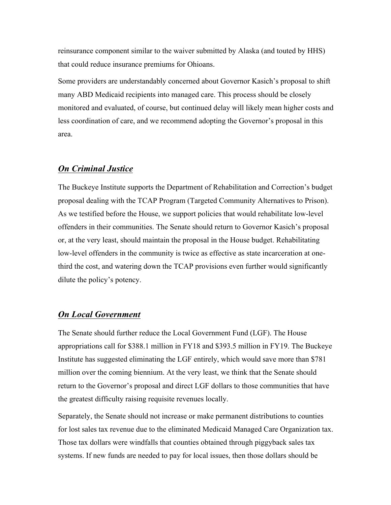reinsurance component similar to the waiver submitted by Alaska (and touted by HHS) that could reduce insurance premiums for Ohioans.

Some providers are understandably concerned about Governor Kasich's proposal to shift many ABD Medicaid recipients into managed care. This process should be closely monitored and evaluated, of course, but continued delay will likely mean higher costs and less coordination of care, and we recommend adopting the Governor's proposal in this area.

# *On Criminal Justice*

The Buckeye Institute supports the Department of Rehabilitation and Correction's budget proposal dealing with the TCAP Program (Targeted Community Alternatives to Prison). As we testified before the House, we support policies that would rehabilitate low-level offenders in their communities. The Senate should return to Governor Kasich's proposal or, at the very least, should maintain the proposal in the House budget. Rehabilitating low-level offenders in the community is twice as effective as state incarceration at onethird the cost, and watering down the TCAP provisions even further would significantly dilute the policy's potency.

#### *On Local Government*

The Senate should further reduce the Local Government Fund (LGF). The House appropriations call for \$388.1 million in FY18 and \$393.5 million in FY19. The Buckeye Institute has suggested eliminating the LGF entirely, which would save more than \$781 million over the coming biennium. At the very least, we think that the Senate should return to the Governor's proposal and direct LGF dollars to those communities that have the greatest difficulty raising requisite revenues locally.

Separately, the Senate should not increase or make permanent distributions to counties for lost sales tax revenue due to the eliminated Medicaid Managed Care Organization tax. Those tax dollars were windfalls that counties obtained through piggyback sales tax systems. If new funds are needed to pay for local issues, then those dollars should be